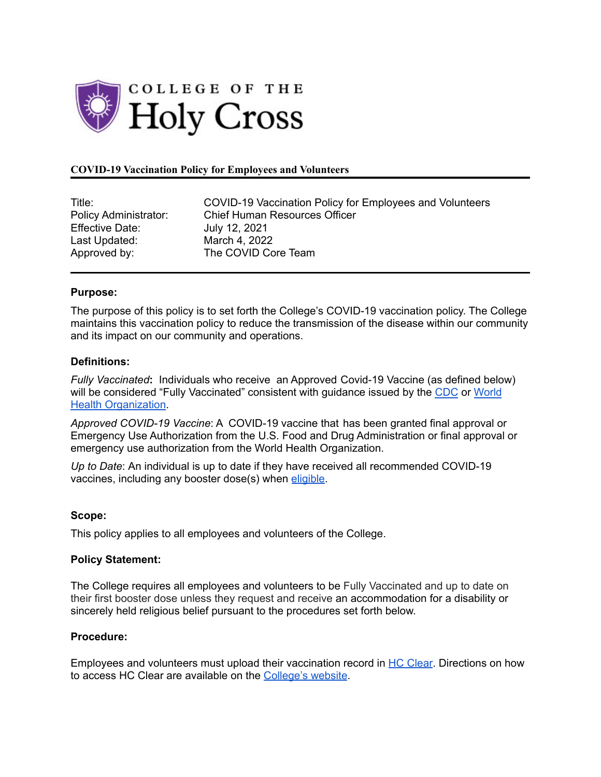

## **COVID-19 Vaccination Policy for Employees and Volunteers**

| Title:                      |
|-----------------------------|
| <b>Policy Administrator</b> |
| <b>Effective Date:</b>      |
| Last Updated:               |
| Approved by:                |

COVID-19 Vaccination Policy for Employees and Volunteers : Chief Human Resources Officer July 12, 2021 March 4, 2022 The COVID Core Team

### **Purpose:**

The purpose of this policy is to set forth the College's COVID-19 vaccination policy. The College maintains this vaccination policy to reduce the transmission of the disease within our community and its impact on our community and operations.

### **Definitions:**

*Fully Vaccinated***:** Individuals who receive an Approved Covid-19 Vaccine (as defined below) will be considered "Fully Vaccinated" consistent with guidance issued by the [CDC](https://www.cdc.gov/coronavirus/2019-ncov/vaccines/fully-vaccinated.html) or [World](https://www.who.int/emergencies/diseases/novel-coronavirus-2019/covid-19-vaccines/advice) **Health [Organization](https://www.who.int/emergencies/diseases/novel-coronavirus-2019/covid-19-vaccines/advice).** 

*Approved COVID-19 Vaccine*: A COVID-19 vaccine that has been granted final approval or Emergency Use Authorization from the U.S. Food and Drug Administration or final approval or emergency use authorization from the World Health Organization.

*Up to Date*: An individual is up to date if they have received all recommended COVID-19 vaccines, including any booster dose(s) when [eligible](https://www.cdc.gov/coronavirus/2019-ncov/vaccines/booster-shot.html?s_cid=11737:cdc%20booster%20guidelines:sem.ga:p:RG:GM:gen:PTN:FY22).

#### **Scope:**

This policy applies to all employees and volunteers of the College.

#### **Policy Statement:**

The College requires all employees and volunteers to be Fully Vaccinated and up to date on their first booster dose unless they request and receive an accommodation for a disability or sincerely held religious belief pursuant to the procedures set forth below.

## **Procedure:**

Employees and volunteers must upload their vaccination record in HC [Clear](https://hcclear.holycross.edu/). Directions on how to access HC Clear are available on the [College's](https://www.holycross.edu/sites/default/files/files/humanresources/hc_clear_detailed_user_instructions1-19-21.pdf) website.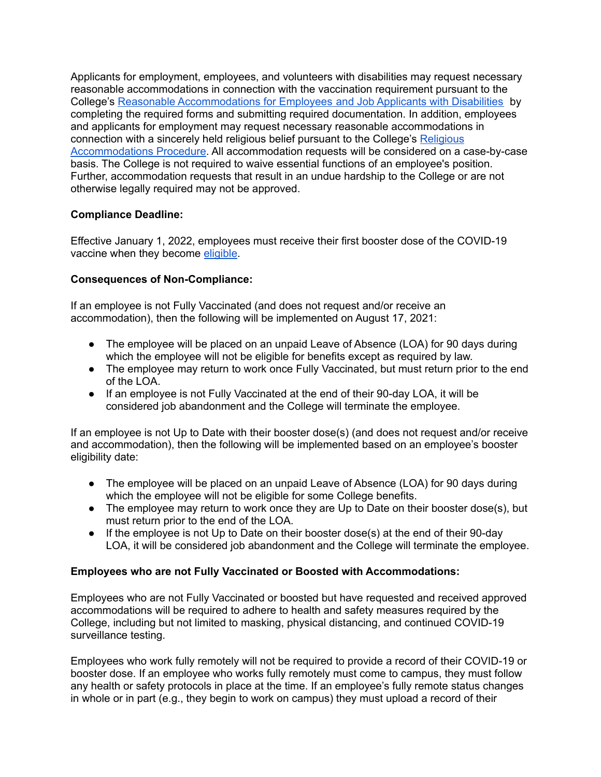Applicants for employment, employees, and volunteers with disabilities may request necessary reasonable accommodations in connection with the vaccination requirement pursuant to the College's Reasonable [Accommodations](https://www.holycross.edu/sites/default/files/files/policyprocedure/adminfinance/final_procedures_for_applicant_and_employees_9-21-2018.pdf) for Employees and Job Applicants with Disabilities by completing the required forms and submitting required documentation. In addition, employees and applicants for employment may request necessary reasonable accommodations in connection with a sincerely held religious belief pursuant to the College's [Religious](https://www.holycross.edu/sites/default/files/files/policyprocedure/adminfinance/religious_accommodations_procedure_for_employees_and_job_applicants_and_appendix_a_request_form_03.23.2021_1.docx) [Accommodations](https://www.holycross.edu/sites/default/files/files/policyprocedure/adminfinance/religious_accommodations_procedure_for_employees_and_job_applicants_and_appendix_a_request_form_03.23.2021_1.docx) Procedure. All accommodation requests will be considered on a case-by-case basis. The College is not required to waive essential functions of an employee's position. Further, accommodation requests that result in an undue hardship to the College or are not otherwise legally required may not be approved.

# **Compliance Deadline:**

Effective January 1, 2022, employees must receive their first booster dose of the COVID-19 vaccine when they become [eligible.](https://www.cdc.gov/coronavirus/2019-ncov/vaccines/booster-shot.html?s_cid=11737:cdc%20booster%20guidelines:sem.ga:p:RG:GM:gen:PTN:FY22)

# **Consequences of Non-Compliance:**

If an employee is not Fully Vaccinated (and does not request and/or receive an accommodation), then the following will be implemented on August 17, 2021:

- The employee will be placed on an unpaid Leave of Absence (LOA) for 90 days during which the employee will not be eligible for benefits except as required by law.
- The employee may return to work once Fully Vaccinated, but must return prior to the end of the LOA.
- If an employee is not Fully Vaccinated at the end of their 90-day LOA, it will be considered job abandonment and the College will terminate the employee.

If an employee is not Up to Date with their booster dose(s) (and does not request and/or receive and accommodation), then the following will be implemented based on an employee's booster eligibility date:

- The employee will be placed on an unpaid Leave of Absence (LOA) for 90 days during which the employee will not be eligible for some College benefits.
- The employee may return to work once they are Up to Date on their booster dose(s), but must return prior to the end of the LOA.
- If the employee is not Up to Date on their booster dose(s) at the end of their 90-day LOA, it will be considered job abandonment and the College will terminate the employee.

# **Employees who are not Fully Vaccinated or Boosted with Accommodations:**

Employees who are not Fully Vaccinated or boosted but have requested and received approved accommodations will be required to adhere to health and safety measures required by the College, including but not limited to masking, physical distancing, and continued COVID-19 surveillance testing.

Employees who work fully remotely will not be required to provide a record of their COVID-19 or booster dose. If an employee who works fully remotely must come to campus, they must follow any health or safety protocols in place at the time. If an employee's fully remote status changes in whole or in part (e.g., they begin to work on campus) they must upload a record of their